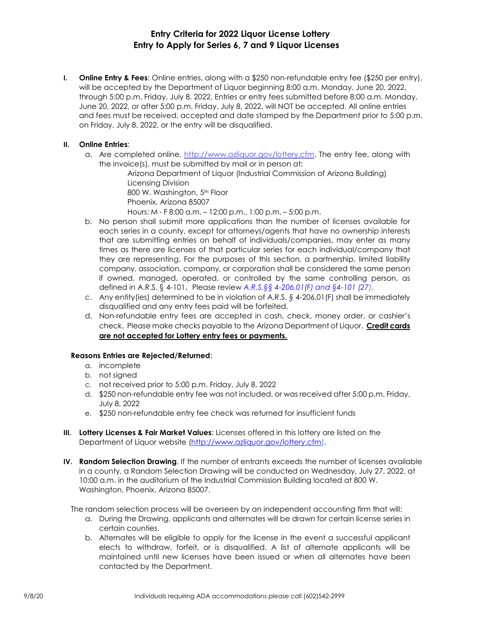# **Entry Criteria for 2022 Liquor License Lottery Entry to Apply for Series 6, 7 and 9 Liquor Licenses**

**I. Online Entry & Fees**: Online entries, along with a \$250 non-refundable entry fee (\$250 per entry), will be accepted by the Department of Liquor beginning 8:00 a.m. Monday, June 20, 2022, through 5:00 p.m. Friday, July 8, 2022. Entries or entry fees submitted before 8:00 a.m. Monday, June 20, 2022, or after 5:00 p.m. Friday, July 8, 2022, will NOT be accepted. All online entries and fees must be received, accepted and date stamped by the Department prior to 5:00 p.m. on Friday, July 8, 2022, or the entry will be disqualified.

# **II. Online Entries**:

a. Are completed online, http://www.azliquor.gov/lottery.cfm. The entry fee, along with the invoice(s), must be submitted by mail or in person at:

Arizona Department of Liquor (Industrial Commission of Arizona Building) Licensing Division 800 W. Washington, 5<sup>th</sup> Floor Phoenix, Arizona 85007 Hours: M - F 8:00 a.m. – 12:00 p.m., 1:00 p.m. – 5:00 p.m.

- b. No person shall submit more applications than the number of licenses available for each series in a county, except for attorneys/agents that have no ownership interests that are submitting entries on behalf of individuals/companies, may enter as many times as there are licenses of that particular series for each individual/company that they are representing. For the purposes of this section, a partnership, limited liability company, association, company, or corporation shall be considered the same person if owned, managed, operated, or controlled by the same controlling person, as defined in A.R.S. § 4-101. Please review *A.R.S.§§ 4-206.01(F) and §4-101 (27).*
- c. Any entity(ies) determined to be in violation of A.R.S. *§* 4-206.01(F) shall be immediately disqualified and any entry fees paid will be forfeited.
- d. Non-refundable entry fees are accepted in cash, check, money order, or cashier's check. Please make checks payable to the Arizona Department of Liquor. **Credit cards are not accepted for Lottery entry fees or payments.**

## **Reasons Entries are Rejected/Returned**:

- a. incomplete
- b. not signed
- c. not received prior to 5:00 p.m. Friday, July 8, 2022
- d. \$250 non-refundable entry fee was not included, or was received after 5:00 p.m. Friday, July 8, 2022
- e. \$250 non-refundable entry fee check was returned for insufficient funds
- **III. Lottery Licenses & Fair Market Values**: Licenses offered in this lottery are listed on the Department of Liquor website (http://www.azliquor.gov/lottery.cfm).
- **IV. Random Selection Drawing**. If the number of entrants exceeds the number of licenses available in a county, a Random Selection Drawing will be conducted on Wednesday, July 27, 2022, at 10:00 a.m. in the auditorium of the Industrial Commission Building located at 800 W. Washington, Phoenix, Arizona 85007.

The random selection process will be overseen by an independent accounting firm that will:

- a. During the Drawing, applicants and alternates will be drawn for certain license series in certain counties.
- b. Alternates will be eligible to apply for the license in the event a successful applicant elects to withdraw, forfeit, or is disqualified. A list of alternate applicants will be maintained until new licenses have been issued or when all alternates have been contacted by the Department.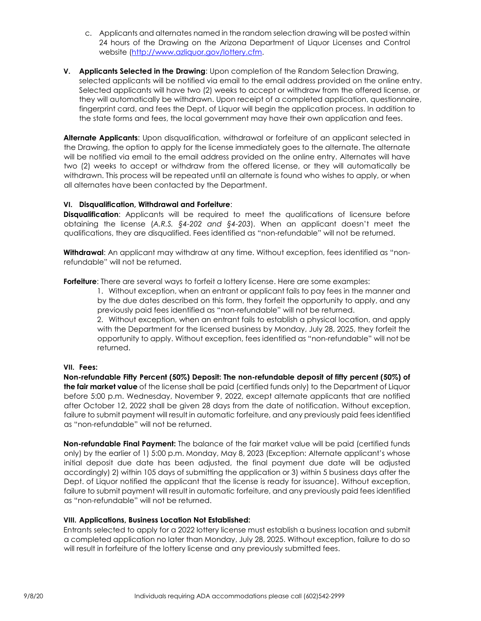- c. Applicants and alternates named in the random selection drawing will be posted within 24 hours of the Drawing on the Arizona Department of Liquor Licenses and Control website (http://www.azliquor.gov/lottery.cfm.
- **V. Applicants Selected in the Drawing**: Upon completion of the Random Selection Drawing, selected applicants will be notified via email to the email address provided on the online entry. Selected applicants will have two (2) weeks to accept or withdraw from the offered license, or they will automatically be withdrawn. Upon receipt of a completed application, questionnaire, fingerprint card, and fees the Dept. of Liquor will begin the application process. In addition to the state forms and fees, the local government may have their own application and fees.

**Alternate Applicants**: Upon disqualification, withdrawal or forfeiture of an applicant selected in the Drawing, the option to apply for the license immediately goes to the alternate. The alternate will be notified via email to the email address provided on the online entry. Alternates will have two (2) weeks to accept or withdraw from the offered license, or they will automatically be withdrawn. This process will be repeated until an alternate is found who wishes to apply, or when all alternates have been contacted by the Department.

## **VI. Disqualification, Withdrawal and Forfeiture**:

**Disqualification:** Applicants will be required to meet the qualifications of licensure before obtaining the license (*A.R.S. §4-202 and §4-203*). When an applicant doesn't meet the qualifications, they are disqualified. Fees identified as "non-refundable" will not be returned.

**Withdrawal**: An applicant may withdraw at any time. Without exception, fees identified as "nonrefundable" will not be returned.

**Forfeiture**: There are several ways to forfeit a lottery license. Here are some examples:

1. Without exception, when an entrant or applicant fails to pay fees in the manner and by the due dates described on this form, they forfeit the opportunity to apply, and any previously paid fees identified as "non-refundable" will not be returned.

2. Without exception, when an entrant fails to establish a physical location, and apply with the Department for the licensed business by Monday, July 28, 2025, they forfeit the opportunity to apply. Without exception, fees identified as "non-refundable" will not be returned.

#### **VII. Fees:**

**Non-refundable Fifty Percent (50%) Deposit: The non-refundable deposit of fifty percent (50%) of the fair market value** of the license shall be paid (certified funds only) to the Department of Liquor before 5:00 p.m. Wednesday, November 9, 2022, except alternate applicants that are notified after October 12, 2022 shall be given 28 days from the date of notification. Without exception, failure to submit payment will result in automatic forfeiture, and any previously paid fees identified as "non-refundable" will not be returned.

**Non-refundable Final Payment:** The balance of the fair market value will be paid (certified funds only) by the earlier of 1) 5:00 p.m. Monday, May 8, 2023 (Exception: Alternate applicant's whose initial deposit due date has been adjusted, the final payment due date will be adjusted accordingly) 2) within 105 days of submitting the application or 3) within 5 business days after the Dept. of Liquor notified the applicant that the license is ready for issuance). Without exception, failure to submit payment will result in automatic forfeiture, and any previously paid fees identified as "non-refundable" will not be returned.

#### **VIII. Applications, Business Location Not Established:**

Entrants selected to apply for a 2022 lottery license must establish a business location and submit a completed application no later than Monday, July 28, 2025. Without exception, failure to do so will result in forfeiture of the lottery license and any previously submitted fees.